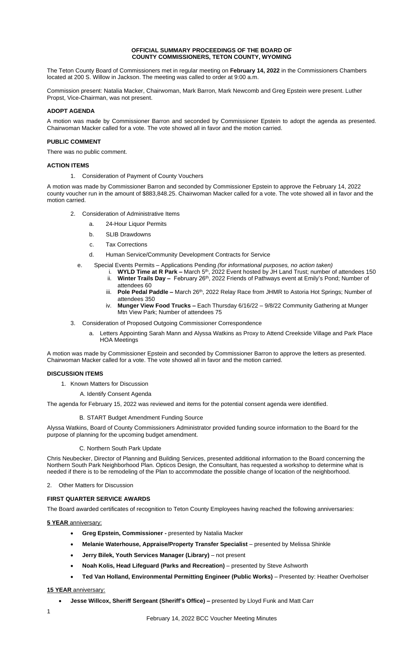#### **OFFICIAL SUMMARY PROCEEDINGS OF THE BOARD OF COUNTY COMMISSIONERS, TETON COUNTY, WYOMING**

The Teton County Board of Commissioners met in regular meeting on **February 14, 2022** in the Commissioners Chambers located at 200 S. Willow in Jackson. The meeting was called to order at 9:00 a.m.

Commission present: Natalia Macker, Chairwoman, Mark Barron, Mark Newcomb and Greg Epstein were present. Luther Propst, Vice-Chairman, was not present.

# **ADOPT AGENDA**

A motion was made by Commissioner Barron and seconded by Commissioner Epstein to adopt the agenda as presented. Chairwoman Macker called for a vote. The vote showed all in favor and the motion carried.

# **PUBLIC COMMENT**

There was no public comment.

#### **ACTION ITEMS**

# 1. Consideration of Payment of County Vouchers

A motion was made by Commissioner Barron and seconded by Commissioner Epstein to approve the February 14, 2022 county voucher run in the amount of \$883,848.25. Chairwoman Macker called for a vote. The vote showed all in favor and the motion carried.

- 2. Consideration of Administrative Items
	- a. 24-Hour Liquor Permits
	- b. SLIB Drawdowns
	- c. Tax Corrections
	- d. Human Service/Community Development Contracts for Service
	- e. Special Events Permits Applications Pending *(for informational purposes, no action taken)*
		- i. **WYLD Time at R Park –** March 5th, 2022 Event hosted by JH Land Trust; number of attendees 150 ii. Winter Trails Day - February 26<sup>th</sup>, 2022 Friends of Pathways event at Emily's Pond; Number of
			- attendees 60
		- iii. **Pole Pedal Paddle -** March 26<sup>th</sup>, 2022 Relay Race from JHMR to Astoria Hot Springs; Number of attendees 350
		- iv. **Munger View Food Trucks –** Each Thursday 6/16/22 9/8/22 Community Gathering at Munger Mtn View Park; Number of attendees 75
- 3. Consideration of Proposed Outgoing Commissioner Correspondence
	- Letters Appointing Sarah Mann and Alyssa Watkins as Proxy to Attend Creekside Village and Park Place HOA Meetings

A motion was made by Commissioner Epstein and seconded by Commissioner Barron to approve the letters as presented. Chairwoman Macker called for a vote. The vote showed all in favor and the motion carried.

# **DISCUSSION ITEMS**

- 1. Known Matters for Discussion
	- A. Identify Consent Agenda

The agenda for February 15, 2022 was reviewed and items for the potential consent agenda were identified.

B. START Budget Amendment Funding Source

Alyssa Watkins, Board of County Commissioners Administrator provided funding source information to the Board for the purpose of planning for the upcoming budget amendment.

# C. Northern South Park Update

Chris Neubecker, Director of Planning and Building Services, presented additional information to the Board concerning the Northern South Park Neighborhood Plan. Opticos Design, the Consultant, has requested a workshop to determine what is needed if there is to be remodeling of the Plan to accommodate the possible change of location of the neighborhood.

2. Other Matters for Discussion

# **FIRST QUARTER SERVICE AWARDS**

The Board awarded certificates of recognition to Teton County Employees having reached the following anniversaries:

**5 YEAR** anniversary:

- **Greg Epstein, Commissioner** presented by Natalia Macker
- **Melanie Waterhouse, Appraise/Property Transfer Specialist**  presented by Melissa Shinkle
- **Jerry Bilek, Youth Services Manager (Library)** not present
- **Noah Kolis, Head Lifeguard (Parks and Recreation)** presented by Steve Ashworth
- **Ted Van Holland, Environmental Permitting Engineer (Public Works)** Presented by: Heather Overholser

# **15 YEAR** anniversary:

**Jesse Willcox, Sheriff Sergeant (Sheriff's Office) –** presented by Lloyd Funk and Matt Carr

1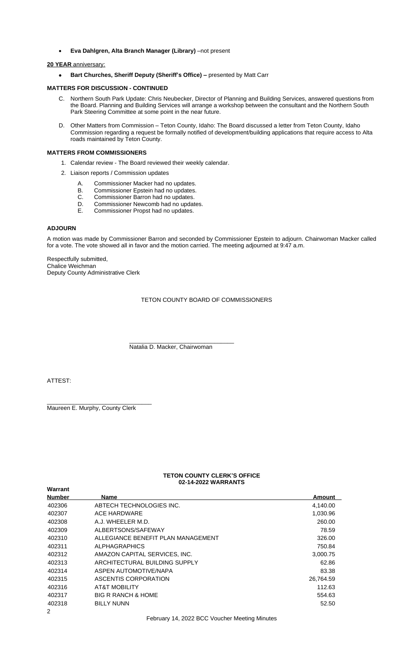**Eva Dahlgren, Alta Branch Manager (Library)** –not present

**20 YEAR** anniversary:

**Bart Churches, Sheriff Deputy (Sheriff's Office) –** presented by Matt Carr

# **MATTERS FOR DISCUSSION - CONTINUED**

- C. Northern South Park Update: Chris Neubecker, Director of Planning and Building Services, answered questions from the Board. Planning and Building Services will arrange a workshop between the consultant and the Northern South Park Steering Committee at some point in the near future.
- D. Other Matters from Commission Teton County, Idaho: The Board discussed a letter from Teton County, Idaho Commission regarding a request be formally notified of development/building applications that require access to Alta roads maintained by Teton County.

### **MATTERS FROM COMMISSIONERS**

- 1. Calendar review The Board reviewed their weekly calendar.
- 2. Liaison reports / Commission updates
	- A. Commissioner Macker had no updates.
	- B. Commissioner Epstein had no updates.<br>C. Commissioner Barron had no updates.
	- C. Commissioner Barron had no updates.<br>D. Commissioner Newcomb had no updat
	- D. Commissioner Newcomb had no updates.<br>E. Commissioner Propst had no updates.
	- Commissioner Propst had no updates.

#### **ADJOURN**

A motion was made by Commissioner Barron and seconded by Commissioner Epstein to adjourn. Chairwoman Macker called for a vote. The vote showed all in favor and the motion carried. The meeting adjourned at 9:47 a.m.

Respectfully submitted, Chalice Weichman Deputy County Administrative Clerk

TETON COUNTY BOARD OF COMMISSIONERS

\_\_\_\_\_\_\_\_\_\_\_\_\_\_\_\_\_\_\_\_\_\_\_\_\_\_\_\_\_\_\_\_ Natalia D. Macker, Chairwoman

ATTEST:

**Warrant**

\_\_\_\_\_\_\_\_\_\_\_\_\_\_\_\_\_\_\_\_\_\_\_\_\_\_\_\_\_\_\_\_ Maureen E. Murphy, County Clerk

# **TETON COUNTY CLERK'S OFFICE 02-14-2022 WARRANTS**

| <b>Number</b> | <b>Name</b>                        | Amount    |
|---------------|------------------------------------|-----------|
| 402306        | ABTECH TECHNOLOGIES INC.           | 4,140.00  |
| 402307        | ACE HARDWARE                       | 1,030.96  |
| 402308        | A.J. WHEELER M.D.                  | 260.00    |
| 402309        | ALBERTSONS/SAFEWAY                 | 78.59     |
| 402310        | ALLEGIANCE BENEFIT PLAN MANAGEMENT | 326.00    |
| 402311        | ALPHAGRAPHICS                      | 750.84    |
| 402312        | AMAZON CAPITAL SERVICES. INC.      | 3,000.75  |
| 402313        | ARCHITECTURAL BUILDING SUPPLY      | 62.86     |
| 402314        | ASPEN AUTOMOTIVE/NAPA              | 83.38     |
| 402315        | ASCENTIS CORPORATION               | 26,764.59 |
| 402316        | <b>AT&amp;T MOBILITY</b>           | 112.63    |
| 402317        | <b>BIG R RANCH &amp; HOME</b>      | 554.63    |
| 402318        | <b>BILLY NUNN</b>                  | 52.50     |
| 2             |                                    |           |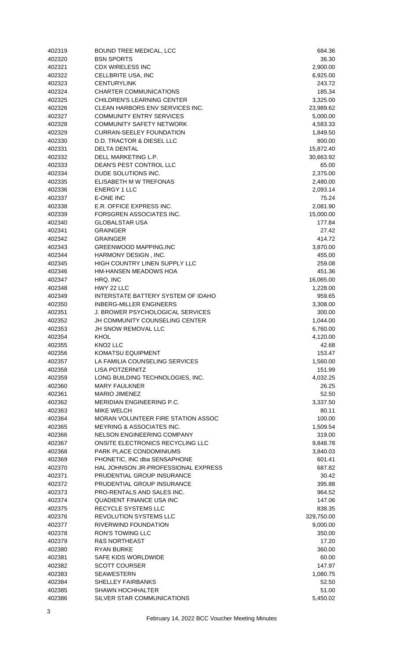| 402319           | <b>BOUND TREE MEDICAL, LCC</b>                                      | 684.36             |
|------------------|---------------------------------------------------------------------|--------------------|
| 402320           | <b>BSN SPORTS</b>                                                   | 36.30              |
| 402321           | <b>CDX WIRELESS INC</b>                                             | 2,900.00           |
| 402322           | CELLBRITE USA, INC                                                  | 6,925.00           |
| 402323           | <b>CENTURYLINK</b>                                                  | 243.72             |
| 402324           | <b>CHARTER COMMUNICATIONS</b>                                       | 185.34             |
| 402325           | <b>CHILDREN'S LEARNING CENTER</b>                                   | 3,325.00           |
| 402326           | CLEAN HARBORS ENV SERVICES INC.                                     | 23,989.62          |
| 402327           | <b>COMMUNITY ENTRY SERVICES</b>                                     | 5,000.00           |
| 402328           | <b>COMMUNITY SAFETY NETWORK</b>                                     | 4,583.33           |
| 402329           | <b>CURRAN-SEELEY FOUNDATION</b>                                     | 1,849.50           |
| 402330           | D.D. TRACTOR & DIESEL LLC                                           | 800.00             |
| 402331           | <b>DELTA DENTAL</b>                                                 | 15,872.40          |
| 402332           | DELL MARKETING L.P.                                                 | 30,663.92          |
| 402333           | DEAN'S PEST CONTROL LLC                                             | 65.00              |
| 402334           | DUDE SOLUTIONS INC.                                                 | 2,375.00           |
| 402335           | ELISABETH M W TREFONAS                                              | 2,480.00           |
| 402336           | <b>ENERGY 1 LLC</b>                                                 | 2,093.14           |
| 402337           | E-ONE INC                                                           | 75.24              |
| 402338           | E.R. OFFICE EXPRESS INC.                                            | 2,081.90           |
| 402339           | FORSGREN ASSOCIATES INC.                                            | 15,000.00          |
| 402340           | <b>GLOBALSTAR USA</b>                                               | 177.84             |
| 402341           | <b>GRAINGER</b>                                                     | 27.42              |
| 402342           | <b>GRAINGER</b>                                                     | 414.72             |
| 402343           | <b>GREENWOOD MAPPING, INC</b>                                       | 3,870.00           |
| 402344           | HARMONY DESIGN, INC.                                                | 455.00             |
| 402345           | HIGH COUNTRY LINEN SUPPLY LLC                                       | 259.08             |
| 402346           | HM-HANSEN MEADOWS HOA                                               | 451.36             |
| 402347           | HRQ, INC                                                            | 16,065.00          |
| 402348           | HWY 22 LLC                                                          | 1,228.00           |
| 402349           | INTERSTATE BATTERY SYSTEM OF IDAHO                                  | 959.65             |
| 402350           | <b>INBERG-MILLER ENGINEERS</b>                                      | 3,308.00           |
| 402351           | J. BROWER PSYCHOLOGICAL SERVICES                                    | 300.00             |
| 402352           | JH COMMUNITY COUNSELING CENTER                                      | 1,044.00           |
| 402353           | JH SNOW REMOVAL LLC                                                 | 6,760.00           |
| 402354           | <b>KHOL</b>                                                         | 4,120.00           |
| 402355           | KNO <sub>2</sub> LLC                                                | 42.68              |
| 402356           | <b>KOMATSU EQUIPMENT</b>                                            | 153.47             |
| 402357           | LA FAMILIA COUNSELING SERVICES                                      | 1,560.00           |
| 402358           | <b>LISA POTZERNITZ</b>                                              | 151.99             |
| 402359           | LONG BUILDING TECHNOLOGIES, INC.                                    | 4,032.25           |
| 402360           | <b>MARY FAULKNER</b>                                                | 26.25              |
| 402361           | <b>MARIO JIMENEZ</b>                                                | 52.50              |
| 402362           | MERIDIAN ENGINEERING P.C.                                           | 3,337.50           |
| 402363           | <b>MIKE WELCH</b>                                                   | 80.11              |
| 402364           | MORAN VOLUNTEER FIRE STATION ASSOC                                  | 100.00             |
| 402365           | <b>MEYRING &amp; ASSOCIATES INC.</b>                                |                    |
| 402366           | NELSON ENGINEERING COMPANY                                          | 1,509.54<br>319.00 |
| 402367           | ONSITE ELECTRONICS RECYCLING LLC                                    |                    |
|                  | PARK PLACE CONDOMINIUMS                                             | 9,848.78           |
| 402368           |                                                                     | 3,840.03           |
| 402369<br>402370 | PHONETIC, INC dba SENSAPHONE<br>HAL JOHNSON JR-PROFESSIONAL EXPRESS | 601.41<br>687.82   |
| 402371           | PRUDENTIAL GROUP INSURANCE                                          | 30.42              |
|                  |                                                                     |                    |
| 402372           | PRUDENTIAL GROUP INSURANCE<br><b>PRO-RENTALS AND SALES INC.</b>     | 395.88             |
| 402373<br>402374 | QUADIENT FINANCE USA INC                                            | 964.52<br>147.06   |
|                  | RECYCLE SYSTEMS LLC                                                 |                    |
| 402375           |                                                                     | 838.35             |
| 402376           | REVOLUTION SYSTEMS LLC<br>RIVERWIND FOUNDATION                      | 329,750.00         |
| 402377           |                                                                     | 9,000.00           |
| 402378           | <b>RON'S TOWING LLC</b><br><b>R&amp;S NORTHEAST</b>                 | 350.00             |
| 402379           | <b>RYAN BURKE</b>                                                   | 17.20              |
| 402380           |                                                                     | 360.00             |
| 402381<br>402382 | SAFE KIDS WORLDWIDE                                                 | 60.00              |
|                  | <b>SCOTT COURSER</b><br><b>SEAWESTERN</b>                           | 147.97             |
| 402383           | <b>SHELLEY FAIRBANKS</b>                                            | 1,080.75           |
| 402384           | <b>SHAWN HOCHHALTER</b>                                             | 52.50              |
| 402385<br>402386 |                                                                     | 51.00              |
|                  | SILVER STAR COMMUNICATIONS                                          | 5,450.02           |